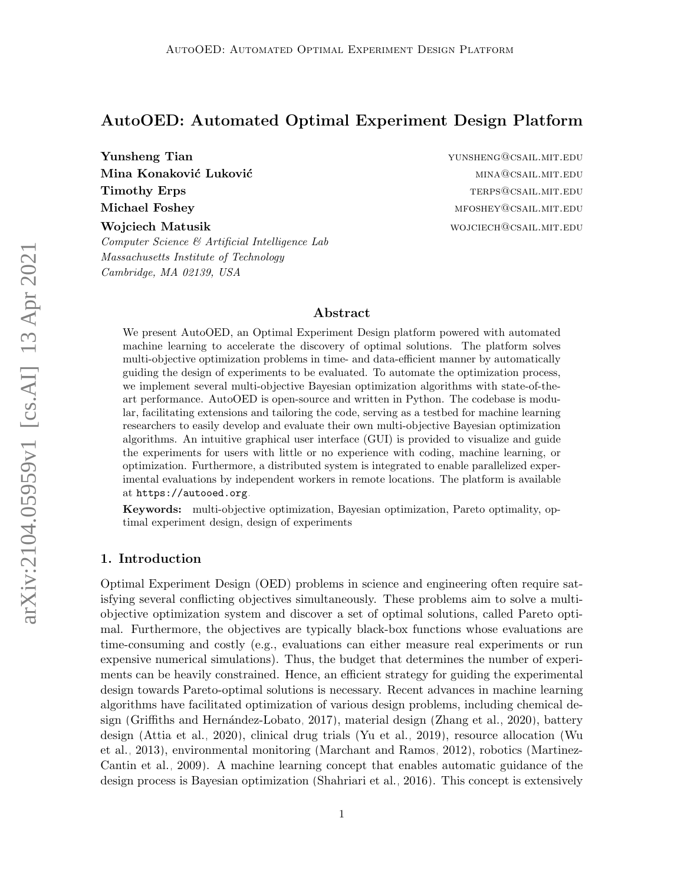# AutoOED: Automated Optimal Experiment Design Platform

**Yunsheng Tian 3 Australian Strategier Membership Strategier Membership Strategier Australian Strategier Australian Strategier Australian Strategier Australian Strategier Australian Strategier Australian Strategier Austral** Mina Konaković Luković mina i mina konakoviti konzulstva i mina i mina i mina i mina i mina i mina i mina i mi Timothy Erps that the contract of the contract of the contract of the contract of the contract of the contract of the contract of the contract of the contract of the contract of the contract of the contract of the contract Michael Foshey material methods and the methods of the methods of the methods of the methods of the methods of the methods of the methods of the methods of the methods of the methods of the methods of the methods of the me Wojciech Matusik wojciech Matusik wojciech Matusik wojciech wojciech wojciech wojciech w wojciech w wojciech w

Computer Science & Artificial Intelligence Lab Massachusetts Institute of Technology Cambridge, MA 02139, USA

# Abstract

We present AutoOED, an Optimal Experiment Design platform powered with automated machine learning to accelerate the discovery of optimal solutions. The platform solves multi-objective optimization problems in time- and data-efficient manner by automatically guiding the design of experiments to be evaluated. To automate the optimization process, we implement several multi-objective Bayesian optimization algorithms with state-of-theart performance. AutoOED is open-source and written in Python. The codebase is modular, facilitating extensions and tailoring the code, serving as a testbed for machine learning researchers to easily develop and evaluate their own multi-objective Bayesian optimization algorithms. An intuitive graphical user interface (GUI) is provided to visualize and guide the experiments for users with little or no experience with coding, machine learning, or optimization. Furthermore, a distributed system is integrated to enable parallelized experimental evaluations by independent workers in remote locations. The platform is available at <https://autooed.org>.

Keywords: multi-objective optimization, Bayesian optimization, Pareto optimality, optimal experiment design, design of experiments

### 1. Introduction

Optimal Experiment Design (OED) problems in science and engineering often require satisfying several conflicting objectives simultaneously. These problems aim to solve a multiobjective optimization system and discover a set of optimal solutions, called Pareto optimal. Furthermore, the objectives are typically black-box functions whose evaluations are time-consuming and costly (e.g., evaluations can either measure real experiments or run expensive numerical simulations). Thus, the budget that determines the number of experiments can be heavily constrained. Hence, an efficient strategy for guiding the experimental design towards Pareto-optimal solutions is necessary. Recent advances in machine learning algorithms have facilitated optimization of various design problems, including chemical de-sign (Griffiths and Hernández-Lobato, 2017), material design [\(Zhang et al., 2020\)](#page-5-0), battery design [\(Attia et al., 2020\)](#page-4-1), clinical drug trials [\(Yu et al., 2019\)](#page-5-1), resource allocation [\(Wu](#page-5-2) [et al., 2013\)](#page-5-2), environmental monitoring [\(Marchant and Ramos, 2012\)](#page-4-2), robotics [\(Martinez-](#page-4-3)[Cantin et al., 2009\)](#page-4-3). A machine learning concept that enables automatic guidance of the design process is Bayesian optimization [\(Shahriari et al., 2016\)](#page-5-3). This concept is extensively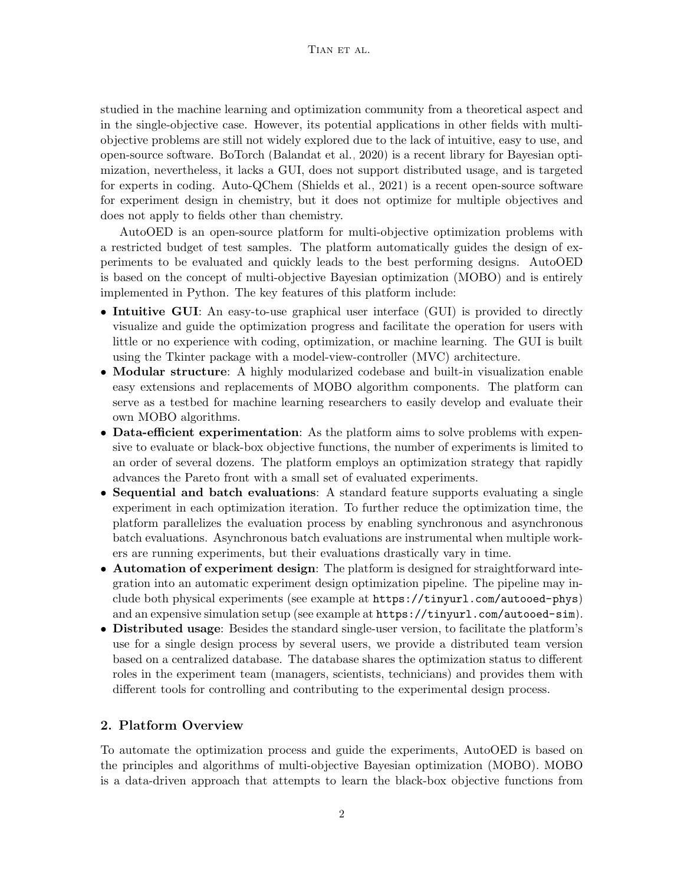studied in the machine learning and optimization community from a theoretical aspect and in the single-objective case. However, its potential applications in other fields with multiobjective problems are still not widely explored due to the lack of intuitive, easy to use, and open-source software. BoTorch [\(Balandat et al., 2020\)](#page-4-4) is a recent library for Bayesian optimization, nevertheless, it lacks a GUI, does not support distributed usage, and is targeted for experts in coding. Auto-QChem [\(Shields et al., 2021\)](#page-5-4) is a recent open-source software for experiment design in chemistry, but it does not optimize for multiple objectives and does not apply to fields other than chemistry.

AutoOED is an open-source platform for multi-objective optimization problems with a restricted budget of test samples. The platform automatically guides the design of experiments to be evaluated and quickly leads to the best performing designs. AutoOED is based on the concept of multi-objective Bayesian optimization (MOBO) and is entirely implemented in Python. The key features of this platform include:

- Intuitive GUI: An easy-to-use graphical user interface (GUI) is provided to directly visualize and guide the optimization progress and facilitate the operation for users with little or no experience with coding, optimization, or machine learning. The GUI is built using the Tkinter package with a model-view-controller (MVC) architecture.
- **Modular structure**: A highly modularized codebase and built-in visualization enable easy extensions and replacements of MOBO algorithm components. The platform can serve as a testbed for machine learning researchers to easily develop and evaluate their own MOBO algorithms.
- **Data-efficient experimentation**: As the platform aims to solve problems with expensive to evaluate or black-box objective functions, the number of experiments is limited to an order of several dozens. The platform employs an optimization strategy that rapidly advances the Pareto front with a small set of evaluated experiments.
- Sequential and batch evaluations: A standard feature supports evaluating a single experiment in each optimization iteration. To further reduce the optimization time, the platform parallelizes the evaluation process by enabling synchronous and asynchronous batch evaluations. Asynchronous batch evaluations are instrumental when multiple workers are running experiments, but their evaluations drastically vary in time.
- **Automation of experiment design:** The platform is designed for straightforward integration into an automatic experiment design optimization pipeline. The pipeline may include both physical experiments (see example at <https://tinyurl.com/autooed-phys>) and an expensive simulation setup (see example at <https://tinyurl.com/autooed-sim>).
- Distributed usage: Besides the standard single-user version, to facilitate the platform's use for a single design process by several users, we provide a distributed team version based on a centralized database. The database shares the optimization status to different roles in the experiment team (managers, scientists, technicians) and provides them with different tools for controlling and contributing to the experimental design process.

# 2. Platform Overview

To automate the optimization process and guide the experiments, AutoOED is based on the principles and algorithms of multi-objective Bayesian optimization (MOBO). MOBO is a data-driven approach that attempts to learn the black-box objective functions from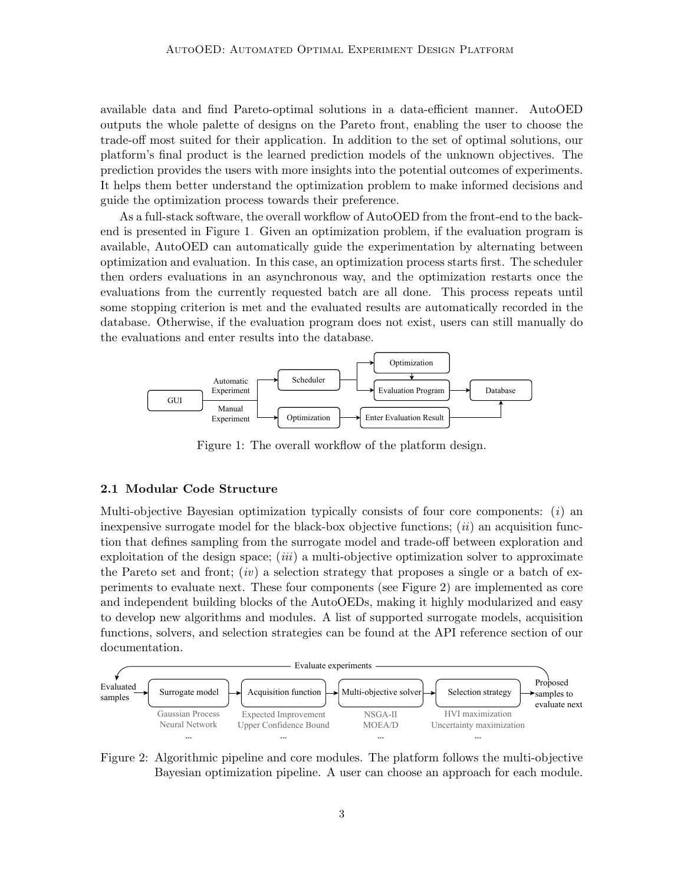available data and find Pareto-optimal solutions in a data-efficient manner. AutoOED outputs the whole palette of designs on the Pareto front, enabling the user to choose the trade-off most suited for their application. In addition to the set of optimal solutions, our platform's final product is the learned prediction models of the unknown objectives. The prediction provides the users with more insights into the potential outcomes of experiments. It helps them better understand the optimization problem to make informed decisions and guide the optimization process towards their preference.

As a full-stack software, the overall workflow of AutoOED from the front-end to the backend is presented in Figure [1.](#page-2-0) Given an optimization problem, if the evaluation program is available, AutoOED can automatically guide the experimentation by alternating between optimization and evaluation. In this case, an optimization process starts first. The scheduler then orders evaluations in an asynchronous way, and the optimization restarts once the evaluations from the currently requested batch are all done. This process repeats until some stopping criterion is met and the evaluated results are automatically recorded in the database. Otherwise, if the evaluation program does not exist, users can still manually do the evaluations and enter results into the database.



<span id="page-2-0"></span>Figure 1: The overall workflow of the platform design.

#### 2.1 Modular Code Structure

Multi-objective Bayesian optimization typically consists of four core components:  $(i)$  and inexpensive surrogate model for the black-box objective functions;  $(ii)$  an acquisition function that defines sampling from the surrogate model and trade-off between exploration and exploitation of the design space;  $(iii)$  a multi-objective optimization solver to approximate the Pareto set and front; (iv) a selection strategy that proposes a single or a batch of experiments to evaluate next. These four components (see Figure [2\)](#page-2-1) are implemented as core and independent building blocks of the AutoOEDs, making it highly modularized and easy to develop new algorithms and modules. A list of supported surrogate models, acquisition functions, solvers, and selection strategies can be found at the API reference section of our documentation.



<span id="page-2-1"></span>Figure 2: Algorithmic pipeline and core modules. The platform follows the multi-objective Bayesian optimization pipeline. A user can choose an approach for each module.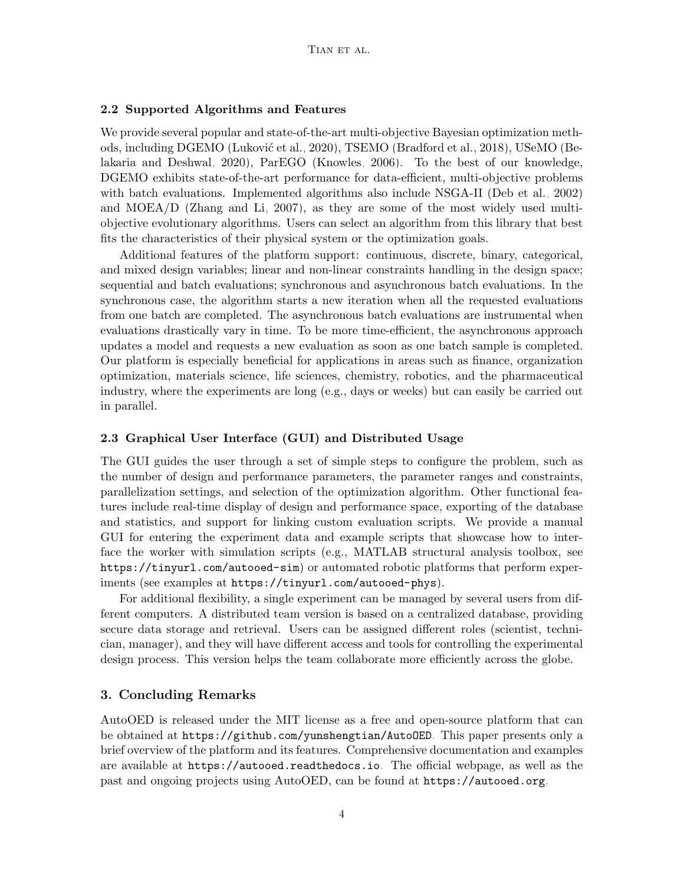### 2.2 Supported Algorithms and Features

We provide several popular and state-of-the-art multi-objective Bayesian optimization meth-ods, including DGEMO (Luković et al., 2020), TSEMO [\(Bradford et al., 2018\)](#page-4-6), USeMO [\(Be](#page-4-7)[lakaria and Deshwal, 2020\)](#page-4-7), ParEGO [\(Knowles, 2006\)](#page-4-8). To the best of our knowledge, DGEMO exhibits state-of-the-art performance for data-efficient, multi-objective problems with batch evaluations. Implemented algorithms also include NSGA-II [\(Deb et al., 2002\)](#page-4-9) and MOEA/D [\(Zhang and Li, 2007\)](#page-5-5), as they are some of the most widely used multiobjective evolutionary algorithms. Users can select an algorithm from this library that best fits the characteristics of their physical system or the optimization goals.

Additional features of the platform support: continuous, discrete, binary, categorical, and mixed design variables; linear and non-linear constraints handling in the design space; sequential and batch evaluations; synchronous and asynchronous batch evaluations. In the synchronous case, the algorithm starts a new iteration when all the requested evaluations from one batch are completed. The asynchronous batch evaluations are instrumental when evaluations drastically vary in time. To be more time-efficient, the asynchronous approach updates a model and requests a new evaluation as soon as one batch sample is completed. Our platform is especially beneficial for applications in areas such as finance, organization optimization, materials science, life sciences, chemistry, robotics, and the pharmaceutical industry, where the experiments are long (e.g., days or weeks) but can easily be carried out in parallel.

#### 2.3 Graphical User Interface (GUI) and Distributed Usage

The GUI guides the user through a set of simple steps to configure the problem, such as the number of design and performance parameters, the parameter ranges and constraints, parallelization settings, and selection of the optimization algorithm. Other functional features include real-time display of design and performance space, exporting of the database and statistics, and support for linking custom evaluation scripts. We provide a manual GUI for entering the experiment data and example scripts that showcase how to interface the worker with simulation scripts (e.g., MATLAB structural analysis toolbox, see <https://tinyurl.com/autooed-sim>) or automated robotic platforms that perform experiments (see examples at <https://tinyurl.com/autooed-phys>).

For additional flexibility, a single experiment can be managed by several users from different computers. A distributed team version is based on a centralized database, providing secure data storage and retrieval. Users can be assigned different roles (scientist, technician, manager), and they will have different access and tools for controlling the experimental design process. This version helps the team collaborate more efficiently across the globe.

### 3. Concluding Remarks

AutoOED is released under the MIT license as a free and open-source platform that can be obtained at <https://github.com/yunshengtian/AutoOED>. This paper presents only a brief overview of the platform and its features. Comprehensive documentation and examples are available at <https://autooed.readthedocs.io>. The official webpage, as well as the past and ongoing projects using AutoOED, can be found at <https://autooed.org>.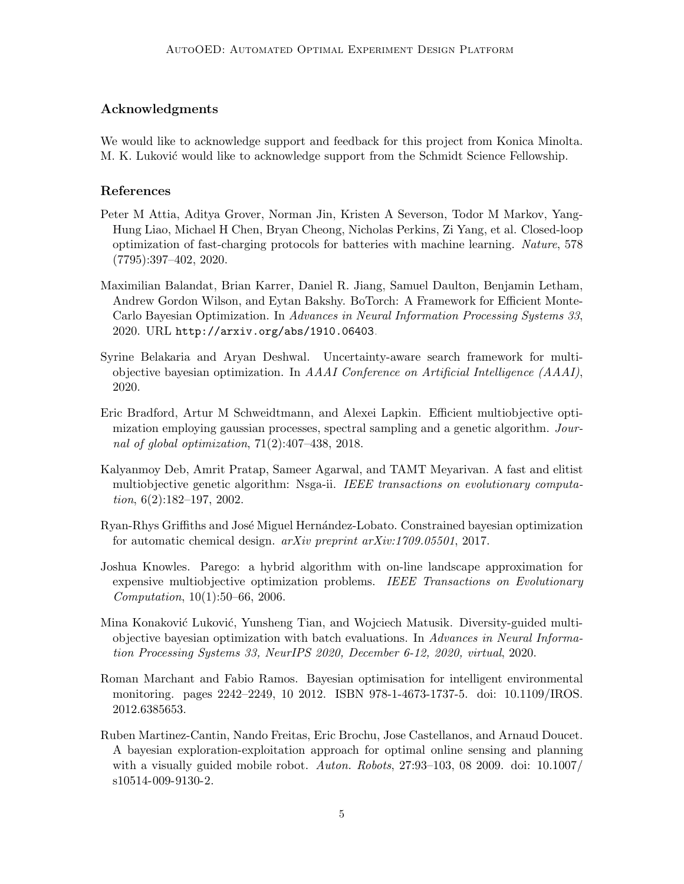# Acknowledgments

We would like to acknowledge support and feedback for this project from Konica Minolta. M. K. Luković would like to acknowledge support from the Schmidt Science Fellowship.

# References

- <span id="page-4-1"></span>Peter M Attia, Aditya Grover, Norman Jin, Kristen A Severson, Todor M Markov, Yang-Hung Liao, Michael H Chen, Bryan Cheong, Nicholas Perkins, Zi Yang, et al. Closed-loop optimization of fast-charging protocols for batteries with machine learning. Nature, 578 (7795):397–402, 2020.
- <span id="page-4-4"></span>Maximilian Balandat, Brian Karrer, Daniel R. Jiang, Samuel Daulton, Benjamin Letham, Andrew Gordon Wilson, and Eytan Bakshy. BoTorch: A Framework for Efficient Monte-Carlo Bayesian Optimization. In Advances in Neural Information Processing Systems 33, 2020. URL <http://arxiv.org/abs/1910.06403>.
- <span id="page-4-7"></span>Syrine Belakaria and Aryan Deshwal. Uncertainty-aware search framework for multiobjective bayesian optimization. In AAAI Conference on Artificial Intelligence (AAAI), 2020.
- <span id="page-4-6"></span>Eric Bradford, Artur M Schweidtmann, and Alexei Lapkin. Efficient multiobjective optimization employing gaussian processes, spectral sampling and a genetic algorithm. Journal of global optimization,  $71(2):407-438$ ,  $2018$ .
- <span id="page-4-9"></span>Kalyanmoy Deb, Amrit Pratap, Sameer Agarwal, and TAMT Meyarivan. A fast and elitist multiobjective genetic algorithm: Nsga-ii. IEEE transactions on evolutionary computation,  $6(2):182-197$ ,  $2002$ .
- <span id="page-4-0"></span>Ryan-Rhys Griffiths and José Miguel Hernández-Lobato. Constrained bayesian optimization for automatic chemical design. arXiv preprint arXiv:1709.05501, 2017.
- <span id="page-4-8"></span>Joshua Knowles. Parego: a hybrid algorithm with on-line landscape approximation for expensive multiobjective optimization problems. IEEE Transactions on Evolutionary Computation, 10(1):50–66, 2006.
- <span id="page-4-5"></span>Mina Konaković Luković, Yunsheng Tian, and Wojciech Matusik. Diversity-guided multiobjective bayesian optimization with batch evaluations. In Advances in Neural Information Processing Systems 33, NeurIPS 2020, December 6-12, 2020, virtual, 2020.
- <span id="page-4-2"></span>Roman Marchant and Fabio Ramos. Bayesian optimisation for intelligent environmental monitoring. pages 2242–2249, 10 2012. ISBN 978-1-4673-1737-5. doi: 10.1109/IROS. 2012.6385653.
- <span id="page-4-3"></span>Ruben Martinez-Cantin, Nando Freitas, Eric Brochu, Jose Castellanos, and Arnaud Doucet. A bayesian exploration-exploitation approach for optimal online sensing and planning with a visually guided mobile robot. Auton. Robots, 27:93-103, 08 2009. doi: 10.1007/ s10514-009-9130-2.